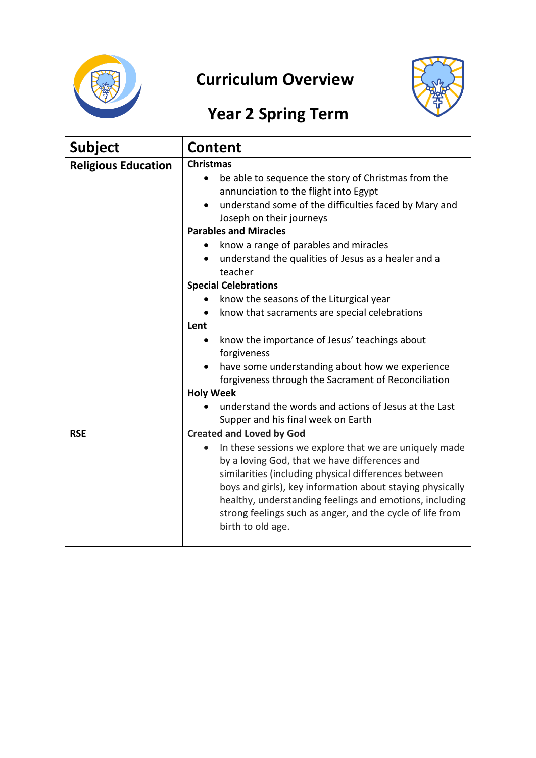

## **Curriculum Overview**



## **Year 2 Spring Term**

| <b>Subject</b>             | <b>Content</b>                                                                                                                                                                                                                                                                                                                                                            |  |  |  |  |
|----------------------------|---------------------------------------------------------------------------------------------------------------------------------------------------------------------------------------------------------------------------------------------------------------------------------------------------------------------------------------------------------------------------|--|--|--|--|
| <b>Religious Education</b> | <b>Christmas</b>                                                                                                                                                                                                                                                                                                                                                          |  |  |  |  |
|                            | be able to sequence the story of Christmas from the<br>$\bullet$<br>annunciation to the flight into Egypt<br>understand some of the difficulties faced by Mary and<br>$\bullet$                                                                                                                                                                                           |  |  |  |  |
|                            | Joseph on their journeys                                                                                                                                                                                                                                                                                                                                                  |  |  |  |  |
|                            | <b>Parables and Miracles</b>                                                                                                                                                                                                                                                                                                                                              |  |  |  |  |
|                            | know a range of parables and miracles<br>$\bullet$                                                                                                                                                                                                                                                                                                                        |  |  |  |  |
|                            | understand the qualities of Jesus as a healer and a<br>$\bullet$<br>teacher                                                                                                                                                                                                                                                                                               |  |  |  |  |
|                            | <b>Special Celebrations</b>                                                                                                                                                                                                                                                                                                                                               |  |  |  |  |
|                            | know the seasons of the Liturgical year                                                                                                                                                                                                                                                                                                                                   |  |  |  |  |
|                            | know that sacraments are special celebrations<br>$\bullet$                                                                                                                                                                                                                                                                                                                |  |  |  |  |
|                            | Lent                                                                                                                                                                                                                                                                                                                                                                      |  |  |  |  |
|                            | know the importance of Jesus' teachings about<br>forgiveness                                                                                                                                                                                                                                                                                                              |  |  |  |  |
|                            | have some understanding about how we experience                                                                                                                                                                                                                                                                                                                           |  |  |  |  |
|                            | forgiveness through the Sacrament of Reconciliation                                                                                                                                                                                                                                                                                                                       |  |  |  |  |
|                            | <b>Holy Week</b>                                                                                                                                                                                                                                                                                                                                                          |  |  |  |  |
|                            | understand the words and actions of Jesus at the Last<br>Supper and his final week on Earth                                                                                                                                                                                                                                                                               |  |  |  |  |
| <b>RSE</b>                 | <b>Created and Loved by God</b>                                                                                                                                                                                                                                                                                                                                           |  |  |  |  |
|                            | In these sessions we explore that we are uniquely made<br>by a loving God, that we have differences and<br>similarities (including physical differences between<br>boys and girls), key information about staying physically<br>healthy, understanding feelings and emotions, including<br>strong feelings such as anger, and the cycle of life from<br>birth to old age. |  |  |  |  |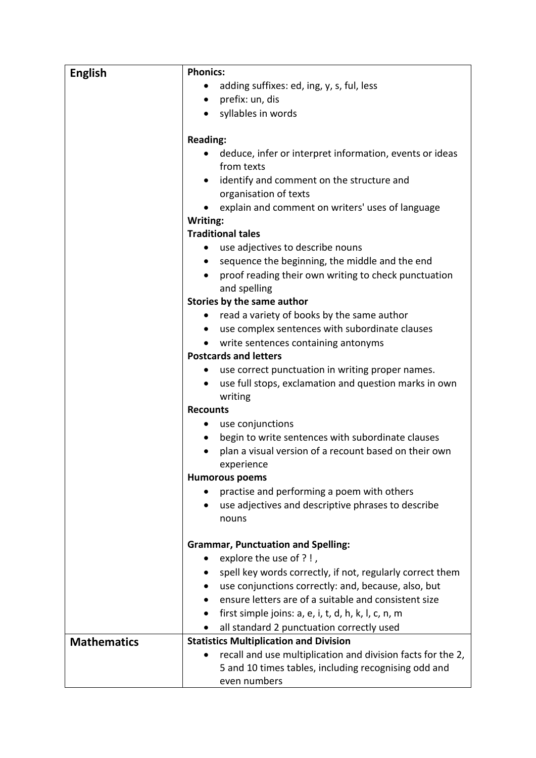| <b>English</b>     | <b>Phonics:</b>                                                                                              |  |  |  |  |  |
|--------------------|--------------------------------------------------------------------------------------------------------------|--|--|--|--|--|
|                    | adding suffixes: ed, ing, y, s, ful, less<br>$\bullet$                                                       |  |  |  |  |  |
|                    | prefix: un, dis<br>$\bullet$                                                                                 |  |  |  |  |  |
|                    | syllables in words<br>$\bullet$                                                                              |  |  |  |  |  |
|                    |                                                                                                              |  |  |  |  |  |
|                    | <b>Reading:</b>                                                                                              |  |  |  |  |  |
|                    | deduce, infer or interpret information, events or ideas<br>from texts                                        |  |  |  |  |  |
|                    | identify and comment on the structure and<br>$\bullet$                                                       |  |  |  |  |  |
|                    | organisation of texts                                                                                        |  |  |  |  |  |
|                    | explain and comment on writers' uses of language                                                             |  |  |  |  |  |
|                    | Writing:                                                                                                     |  |  |  |  |  |
|                    | <b>Traditional tales</b>                                                                                     |  |  |  |  |  |
|                    | use adjectives to describe nouns<br>$\bullet$                                                                |  |  |  |  |  |
|                    | sequence the beginning, the middle and the end<br>$\bullet$                                                  |  |  |  |  |  |
|                    | proof reading their own writing to check punctuation<br>and spelling<br>Stories by the same author           |  |  |  |  |  |
|                    |                                                                                                              |  |  |  |  |  |
|                    | read a variety of books by the same author<br>$\bullet$                                                      |  |  |  |  |  |
|                    | use complex sentences with subordinate clauses<br>٠                                                          |  |  |  |  |  |
|                    | write sentences containing antonyms<br>$\bullet$                                                             |  |  |  |  |  |
|                    | <b>Postcards and letters</b>                                                                                 |  |  |  |  |  |
|                    | use correct punctuation in writing proper names.<br>٠                                                        |  |  |  |  |  |
|                    | use full stops, exclamation and question marks in own<br>writing<br><b>Recounts</b><br>use conjunctions<br>٠ |  |  |  |  |  |
|                    |                                                                                                              |  |  |  |  |  |
|                    |                                                                                                              |  |  |  |  |  |
|                    | begin to write sentences with subordinate clauses<br>٠                                                       |  |  |  |  |  |
|                    | plan a visual version of a recount based on their own                                                        |  |  |  |  |  |
|                    | experience                                                                                                   |  |  |  |  |  |
|                    | <b>Humorous poems</b>                                                                                        |  |  |  |  |  |
|                    | practise and performing a poem with others                                                                   |  |  |  |  |  |
|                    | use adjectives and descriptive phrases to describe<br>٠                                                      |  |  |  |  |  |
|                    | nouns                                                                                                        |  |  |  |  |  |
|                    |                                                                                                              |  |  |  |  |  |
|                    | <b>Grammar, Punctuation and Spelling:</b>                                                                    |  |  |  |  |  |
|                    | explore the use of ?!,<br>$\bullet$                                                                          |  |  |  |  |  |
|                    | spell key words correctly, if not, regularly correct them                                                    |  |  |  |  |  |
|                    | use conjunctions correctly: and, because, also, but<br>$\bullet$                                             |  |  |  |  |  |
|                    | ensure letters are of a suitable and consistent size                                                         |  |  |  |  |  |
|                    | first simple joins: a, e, i, t, d, h, k, l, c, n, m<br>٠                                                     |  |  |  |  |  |
|                    | all standard 2 punctuation correctly used<br><b>Statistics Multiplication and Division</b>                   |  |  |  |  |  |
| <b>Mathematics</b> | recall and use multiplication and division facts for the 2,                                                  |  |  |  |  |  |
|                    | 5 and 10 times tables, including recognising odd and                                                         |  |  |  |  |  |
|                    | even numbers                                                                                                 |  |  |  |  |  |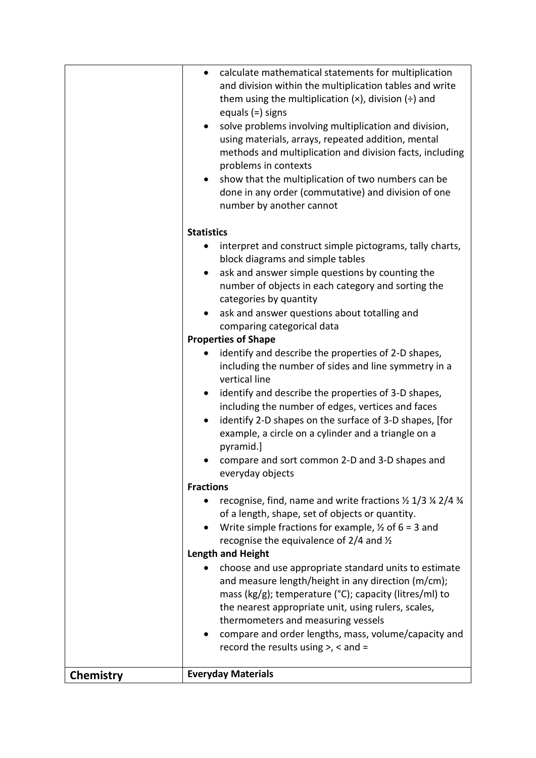|           | categories by quantity<br>ask and answer questions about totalling and<br>comparing categorical data                                                                                                                                                                                                 |
|-----------|------------------------------------------------------------------------------------------------------------------------------------------------------------------------------------------------------------------------------------------------------------------------------------------------------|
|           | <b>Properties of Shape</b><br>identify and describe the properties of 2-D shapes,                                                                                                                                                                                                                    |
|           | including the number of sides and line symmetry in a<br>vertical line                                                                                                                                                                                                                                |
|           | identify and describe the properties of 3-D shapes,<br>٠<br>including the number of edges, vertices and faces<br>identify 2-D shapes on the surface of 3-D shapes, [for<br>٠<br>example, a circle on a cylinder and a triangle on a<br>pyramid.]                                                     |
|           | compare and sort common 2-D and 3-D shapes and<br>everyday objects                                                                                                                                                                                                                                   |
|           | <b>Fractions</b>                                                                                                                                                                                                                                                                                     |
|           | recognise, find, name and write fractions $\frac{1}{2}$ 1/3 $\frac{1}{4}$ 2/4 $\frac{3}{4}$<br>of a length, shape, set of objects or quantity.<br>Write simple fractions for example, $\frac{1}{2}$ of 6 = 3 and<br>recognise the equivalence of $2/4$ and $\frac{1}{2}$<br><b>Length and Height</b> |
|           | choose and use appropriate standard units to estimate                                                                                                                                                                                                                                                |
|           | and measure length/height in any direction (m/cm);<br>mass (kg/g); temperature (°C); capacity (litres/ml) to<br>the nearest appropriate unit, using rulers, scales,<br>thermometers and measuring vessels                                                                                            |
|           | compare and order lengths, mass, volume/capacity and<br>٠<br>record the results using $>$ , < and =                                                                                                                                                                                                  |
| Chemistry | <b>Everyday Materials</b>                                                                                                                                                                                                                                                                            |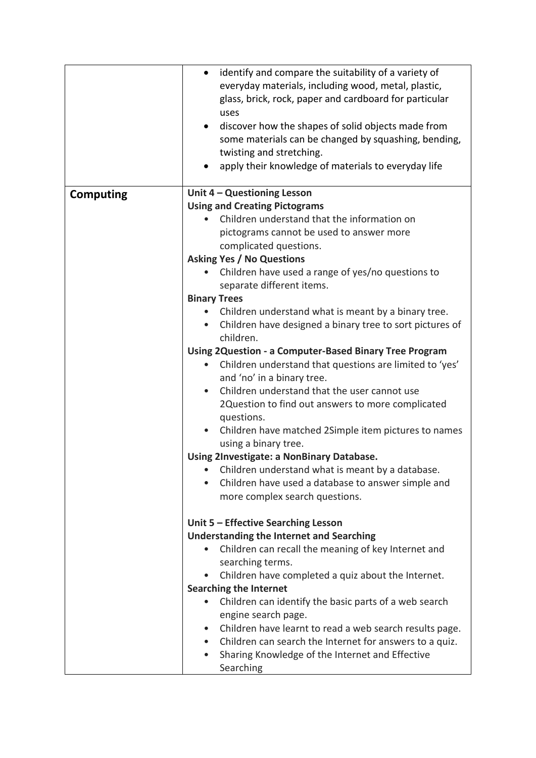|                  | identify and compare the suitability of a variety of<br>$\bullet$<br>everyday materials, including wood, metal, plastic,<br>glass, brick, rock, paper and cardboard for particular<br>uses<br>discover how the shapes of solid objects made from<br>٠<br>some materials can be changed by squashing, bending,<br>twisting and stretching.<br>apply their knowledge of materials to everyday life |  |  |
|------------------|--------------------------------------------------------------------------------------------------------------------------------------------------------------------------------------------------------------------------------------------------------------------------------------------------------------------------------------------------------------------------------------------------|--|--|
| <b>Computing</b> | Unit 4 - Questioning Lesson                                                                                                                                                                                                                                                                                                                                                                      |  |  |
|                  | <b>Using and Creating Pictograms</b>                                                                                                                                                                                                                                                                                                                                                             |  |  |
|                  | Children understand that the information on                                                                                                                                                                                                                                                                                                                                                      |  |  |
|                  | pictograms cannot be used to answer more                                                                                                                                                                                                                                                                                                                                                         |  |  |
|                  | complicated questions.                                                                                                                                                                                                                                                                                                                                                                           |  |  |
|                  | <b>Asking Yes / No Questions</b>                                                                                                                                                                                                                                                                                                                                                                 |  |  |
|                  | Children have used a range of yes/no questions to<br>separate different items.                                                                                                                                                                                                                                                                                                                   |  |  |
|                  | <b>Binary Trees</b>                                                                                                                                                                                                                                                                                                                                                                              |  |  |
|                  | Children understand what is meant by a binary tree.                                                                                                                                                                                                                                                                                                                                              |  |  |
|                  | Children have designed a binary tree to sort pictures of<br>$\bullet$<br>children.                                                                                                                                                                                                                                                                                                               |  |  |
|                  | <b>Using 2Question - a Computer-Based Binary Tree Program</b>                                                                                                                                                                                                                                                                                                                                    |  |  |
|                  | Children understand that questions are limited to 'yes'<br>$\bullet$<br>and 'no' in a binary tree.                                                                                                                                                                                                                                                                                               |  |  |
|                  | Children understand that the user cannot use<br>$\bullet$                                                                                                                                                                                                                                                                                                                                        |  |  |
|                  | 2Question to find out answers to more complicated<br>questions.                                                                                                                                                                                                                                                                                                                                  |  |  |
|                  | Children have matched 2Simple item pictures to names<br>using a binary tree.                                                                                                                                                                                                                                                                                                                     |  |  |
|                  | Using 2Investigate: a NonBinary Database.                                                                                                                                                                                                                                                                                                                                                        |  |  |
|                  | Children understand what is meant by a database.                                                                                                                                                                                                                                                                                                                                                 |  |  |
|                  | Children have used a database to answer simple and                                                                                                                                                                                                                                                                                                                                               |  |  |
|                  | more complex search questions.                                                                                                                                                                                                                                                                                                                                                                   |  |  |
|                  | Unit 5 - Effective Searching Lesson                                                                                                                                                                                                                                                                                                                                                              |  |  |
|                  | <b>Understanding the Internet and Searching</b>                                                                                                                                                                                                                                                                                                                                                  |  |  |
|                  | Children can recall the meaning of key Internet and<br>searching terms.                                                                                                                                                                                                                                                                                                                          |  |  |
|                  | Children have completed a quiz about the Internet.<br>$\bullet$                                                                                                                                                                                                                                                                                                                                  |  |  |
|                  | <b>Searching the Internet</b>                                                                                                                                                                                                                                                                                                                                                                    |  |  |
|                  | Children can identify the basic parts of a web search<br>engine search page.                                                                                                                                                                                                                                                                                                                     |  |  |
|                  | Children have learnt to read a web search results page.<br>$\bullet$                                                                                                                                                                                                                                                                                                                             |  |  |
|                  | Children can search the Internet for answers to a quiz.<br>$\bullet$                                                                                                                                                                                                                                                                                                                             |  |  |
|                  | Sharing Knowledge of the Internet and Effective<br>$\bullet$                                                                                                                                                                                                                                                                                                                                     |  |  |
|                  | Searching                                                                                                                                                                                                                                                                                                                                                                                        |  |  |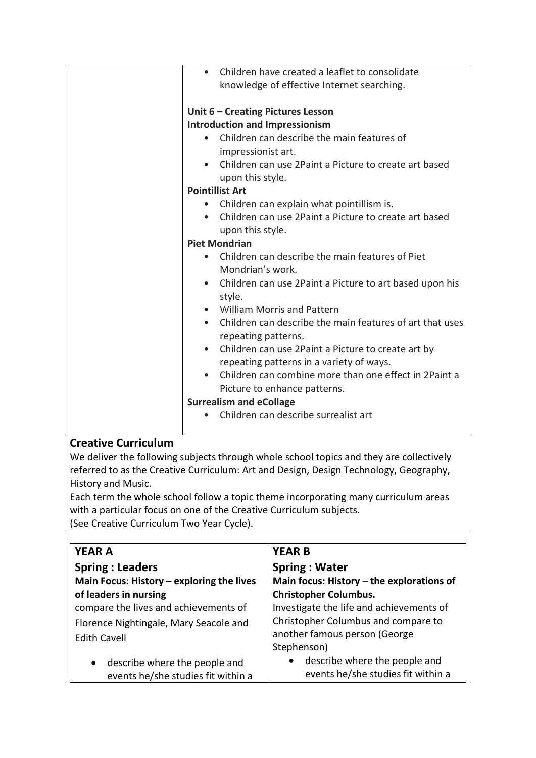| $\bullet$ | Children have created a leaflet to consolidate                        |  |  |  |
|-----------|-----------------------------------------------------------------------|--|--|--|
|           | knowledge of effective Internet searching.                            |  |  |  |
|           |                                                                       |  |  |  |
|           | Unit 6 - Creating Pictures Lesson                                     |  |  |  |
|           | <b>Introduction and Impressionism</b>                                 |  |  |  |
| $\bullet$ | Children can describe the main features of                            |  |  |  |
|           | impressionist art.                                                    |  |  |  |
| $\bullet$ | Children can use 2Paint a Picture to create art based                 |  |  |  |
|           | upon this style.                                                      |  |  |  |
|           | <b>Pointillist Art</b>                                                |  |  |  |
| $\bullet$ | Children can explain what pointillism is.                             |  |  |  |
| $\bullet$ | Children can use 2Paint a Picture to create art based                 |  |  |  |
|           | upon this style.                                                      |  |  |  |
|           | <b>Piet Mondrian</b>                                                  |  |  |  |
|           | Children can describe the main features of Piet                       |  |  |  |
|           | Mondrian's work.                                                      |  |  |  |
|           | • Children can use 2Paint a Picture to art based upon his             |  |  |  |
|           | style.                                                                |  |  |  |
|           | • William Morris and Pattern                                          |  |  |  |
|           | Children can describe the main features of art that uses<br>$\bullet$ |  |  |  |
|           | repeating patterns.                                                   |  |  |  |
|           | Children can use 2Paint a Picture to create art by<br>$\bullet$       |  |  |  |
|           | repeating patterns in a variety of ways.                              |  |  |  |
|           | Children can combine more than one effect in 2Paint a                 |  |  |  |
|           | Picture to enhance patterns.                                          |  |  |  |
|           | <b>Surrealism and eCollage</b>                                        |  |  |  |
|           | Children can describe surrealist art                                  |  |  |  |
|           |                                                                       |  |  |  |
|           |                                                                       |  |  |  |

## **Creative Curriculum**

We deliver the following subjects through whole school topics and they are collectively referred to as the Creative Curriculum: Art and Design, Design Technology, Geography, History and Music.

Each term the whole school follow a topic theme incorporating many curriculum areas with a particular focus on one of the Creative Curriculum subjects. (See Creative Curriculum Two Year Cycle).

| <b>YEAR A</b>                                                                    | <b>YEAR B</b>                                                                    |
|----------------------------------------------------------------------------------|----------------------------------------------------------------------------------|
| <b>Spring: Leaders</b>                                                           | <b>Spring: Water</b>                                                             |
| Main Focus: History - exploring the lives                                        | Main focus: History $-$ the explorations of                                      |
| of leaders in nursing                                                            | <b>Christopher Columbus.</b>                                                     |
| compare the lives and achievements of                                            | Investigate the life and achievements of                                         |
| Florence Nightingale, Mary Seacole and                                           | Christopher Columbus and compare to                                              |
| <b>Edith Cavell</b>                                                              | another famous person (George                                                    |
|                                                                                  | Stephenson)                                                                      |
| describe where the people and<br>$\bullet$<br>events he/she studies fit within a | describe where the people and<br>$\bullet$<br>events he/she studies fit within a |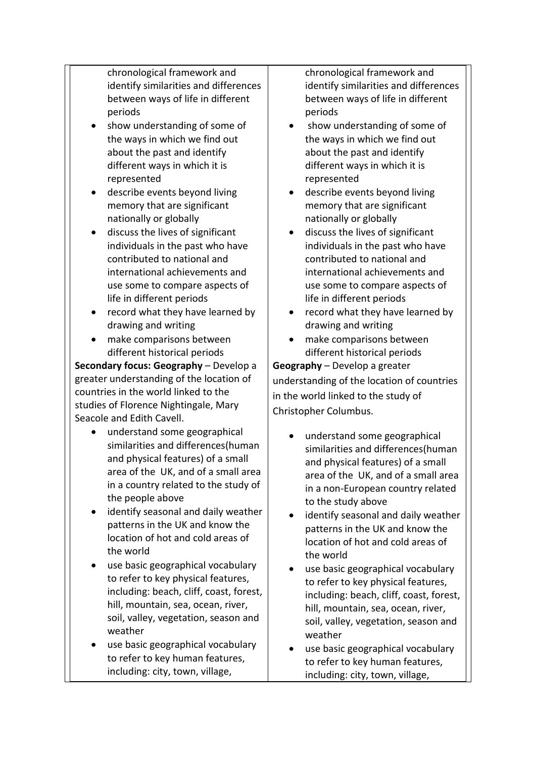chronological framework and identify similarities and differences between ways of life in different periods

- show understanding of some of the ways in which we find out about the past and identify different ways in which it is represented
- describe events beyond living memory that are significant nationally or globally
- discuss the lives of significant individuals in the past who have contributed to national and international achievements and use some to compare aspects of life in different periods
- record what they have learned by drawing and writing
- make comparisons between different historical periods

**Secondary focus: Geography** – Develop a greater understanding of the location of countries in the world linked to the studies of Florence Nightingale, Mary Seacole and Edith Cavell.

- understand some geographical similarities and differences(human and physical features) of a small area of the UK, and of a small area in a country related to the study of the people above
- identify seasonal and daily weather patterns in the UK and know the location of hot and cold areas of the world
- use basic geographical vocabulary to refer to key physical features, including: beach, cliff, coast, forest, hill, mountain, sea, ocean, river, soil, valley, vegetation, season and weather
- use basic geographical vocabulary to refer to key human features, including: city, town, village,

chronological framework and identify similarities and differences between ways of life in different periods

- show understanding of some of the ways in which we find out about the past and identify different ways in which it is represented
- describe events beyond living memory that are significant nationally or globally
- discuss the lives of significant individuals in the past who have contributed to national and international achievements and use some to compare aspects of life in different periods
- record what they have learned by drawing and writing
- make comparisons between different historical periods

**Geography** – Develop a greater understanding of the location of countries in the world linked to the study of Christopher Columbus.

- understand some geographical similarities and differences(human and physical features) of a small area of the UK, and of a small area in a non-European country related to the study above
- identify seasonal and daily weather patterns in the UK and know the location of hot and cold areas of the world
- use basic geographical vocabulary to refer to key physical features, including: beach, cliff, coast, forest, hill, mountain, sea, ocean, river, soil, valley, vegetation, season and weather
- use basic geographical vocabulary to refer to key human features, including: city, town, village,